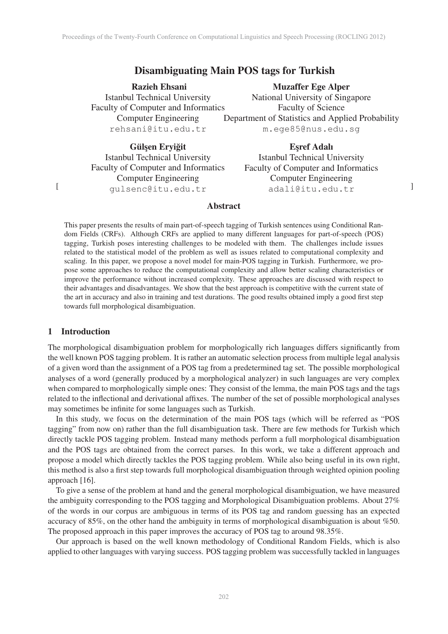# Disambiguating Main POS tags for Turkish

Razieh Ehsani Istanbul Technical University Faculty of Computer and Informatics Computer Engineering rehsani@itu.edu.tr

Muzaffer Ege Alper National University of Singapore Faculty of Science Department of Statistics and Applied Probability m.ege85@nus.edu.sg

Gülsen Erviğit Istanbul Technical University Faculty of Computer and Informatics Computer Engineering gulsenc@itu.edu.tr

Esref Adalı Istanbul Technical University Faculty of Computer and Informatics Computer Engineering adali@itu.edu.tr <sup>]</sup>

### Abstract

This paper presents the results of main part-of-speech tagging of Turkish sentences using Conditional Random Fields (CRFs). Although CRFs are applied to many different languages for part-of-speech (POS) tagging, Turkish poses interesting challenges to be modeled with them. The challenges include issues related to the statistical model of the problem as well as issues related to computational complexity and scaling. In this paper, we propose a novel model for main-POS tagging in Turkish. Furthermore, we propose some approaches to reduce the computational complexity and allow better scaling characteristics or improve the performance without increased complexity. These approaches are discussed with respect to their advantages and disadvantages. We show that the best approach is competitive with the current state of the art in accuracy and also in training and test durations. The good results obtained imply a good first step towards full morphological disambiguation.

### 1 Introduction

[

The morphological disambiguation problem for morphologically rich languages differs significantly from the well known POS tagging problem. It is rather an automatic selection process from multiple legal analysis of a given word than the assignment of a POS tag from a predetermined tag set. The possible morphological analyses of a word (generally produced by a morphological analyzer) in such languages are very complex when compared to morphologically simple ones: They consist of the lemma, the main POS tags and the tags related to the inflectional and derivational affixes. The number of the set of possible morphological analyses may sometimes be infinite for some languages such as Turkish.

In this study, we focus on the determination of the main POS tags (which will be referred as "POS tagging" from now on) rather than the full disambiguation task. There are few methods for Turkish which directly tackle POS tagging problem. Instead many methods perform a full morphological disambiguation and the POS tags are obtained from the correct parses. In this work, we take a different approach and propose a model which directly tackles the POS tagging problem. While also being useful in its own right, this method is also a first step towards full morphological disambiguation through weighted opinion pooling approach [16].

To give a sense of the problem at hand and the general morphological disambiguation, we have measured the ambiguity corresponding to the POS tagging and Morphological Disambiguation problems. About 27% of the words in our corpus are ambiguous in terms of its POS tag and random guessing has an expected accuracy of 85%, on the other hand the ambiguity in terms of morphological disambiguation is about %50. The proposed approach in this paper improves the accuracy of POS tag to around 98.35%.

Our approach is based on the well known methodology of Conditional Random Fields, which is also applied to other languages with varying success. POS tagging problem was successfully tackled in languages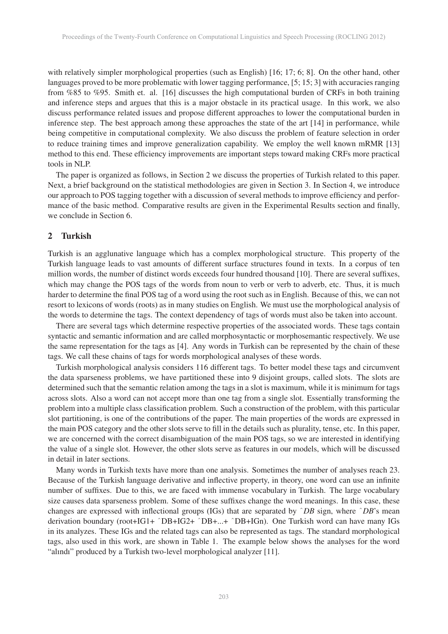with relatively simpler morphological properties (such as English) [16; 17; 6; 8]. On the other hand, other languages proved to be more problematic with lower tagging performance, [5; 15; 3] with accuracies ranging from %85 to %95. Smith et. al. [16] discusses the high computational burden of CRFs in both training and inference steps and argues that this is a major obstacle in its practical usage. In this work, we also discuss performance related issues and propose different approaches to lower the computational burden in inference step. The best approach among these approaches the state of the art [14] in performance, while being competitive in computational complexity. We also discuss the problem of feature selection in order to reduce training times and improve generalization capability. We employ the well known mRMR [13] method to this end. These efficiency improvements are important steps toward making CRFs more practical tools in NLP.

The paper is organized as follows, in Section 2 we discuss the properties of Turkish related to this paper. Next, a brief background on the statistical methodologies are given in Section 3. In Section 4, we introduce our approach to POS tagging together with a discussion of several methods to improve efficiency and performance of the basic method. Comparative results are given in the Experimental Results section and finally, we conclude in Section 6.

### 2 Turkish

Turkish is an agglunative language which has a complex morphological structure. This property of the Turkish language leads to vast amounts of different surface structures found in texts. In a corpus of ten million words, the number of distinct words exceeds four hundred thousand [10]. There are several suffixes, which may change the POS tags of the words from noun to verb or verb to adverb, etc. Thus, it is much harder to determine the final POS tag of a word using the root such as in English. Because of this, we can not resort to lexicons of words (roots) as in many studies on English. We must use the morphological analysis of the words to determine the tags. The context dependency of tags of words must also be taken into account.

There are several tags which determine respective properties of the associated words. These tags contain syntactic and semantic information and are called morphosyntactic or morphosemantic respectively. We use the same representation for the tags as [4]. Any words in Turkish can be represented by the chain of these tags. We call these chains of tags for words morphological analyses of these words.

Turkish morphological analysis considers 116 different tags. To better model these tags and circumvent the data sparseness problems, we have partitioned these into 9 disjoint groups, called slots. The slots are determined such that the semantic relation among the tags in a slot is maximum, while it is minimum for tags across slots. Also a word can not accept more than one tag from a single slot. Essentially transforming the problem into a multiple class classification problem. Such a construction of the problem, with this particular slot partitioning, is one of the contributions of the paper. The main properties of the words are expressed in the main POS category and the other slots serve to fill in the details such as plurality, tense, etc. In this paper, we are concerned with the correct disambiguation of the main POS tags, so we are interested in identifying the value of a single slot. However, the other slots serve as features in our models, which will be discussed in detail in later sections.

Many words in Turkish texts have more than one analysis. Sometimes the number of analyses reach 23. Because of the Turkish language derivative and inflective property, in theory, one word can use an infinite number of suffixes. Due to this, we are faced with immense vocabulary in Turkish. The large vocabulary size causes data sparseness problem. Some of these suffixes change the word meanings. In this case, these changes are expressed with inflectional groups (IGs) that are separated by ˆ*DB* sign, where ˆ*DB*'s mean derivation boundary (root+IG1+ ˆDB+IG2+ ˆDB+...+ ˆDB+IGn). One Turkish word can have many IGs in its analyzes. These IGs and the related tags can also be represented as tags. The standard morphological tags, also used in this work, are shown in Table 1. The example below shows the analyses for the word "alındı" produced by a Turkish two-level morphological analyzer [11].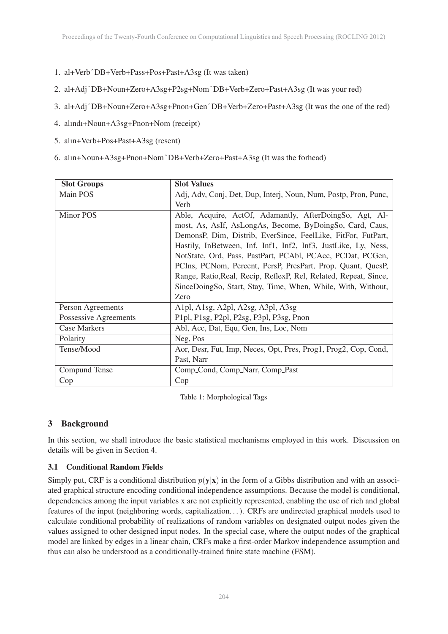- 1. al+VerbˆDB+Verb+Pass+Pos+Past+A3sg (It was taken)
- 2. al+AdjˆDB+Noun+Zero+A3sg+P2sg+NomˆDB+Verb+Zero+Past+A3sg (It was your red)
- 3. al+AdjˆDB+Noun+Zero+A3sg+Pnon+GenˆDB+Verb+Zero+Past+A3sg (It was the one of the red)
- 4. alındı+Noun+A3sg+Pnon+Nom (receipt)
- 5. alın+Verb+Pos+Past+A3sg (resent)
- 6. alın+Noun+A3sg+Pnon+NomˆDB+Verb+Zero+Past+A3sg (It was the forhead)

| <b>Slot Groups</b>    | <b>Slot Values</b>                                               |  |  |
|-----------------------|------------------------------------------------------------------|--|--|
| Main POS              | Adj, Adv, Conj, Det, Dup, Interj, Noun, Num, Postp, Pron, Punc,  |  |  |
|                       | Verb                                                             |  |  |
| <b>Minor POS</b>      | Able, Acquire, ActOf, Adamantly, AfterDoingSo, Agt, Al-          |  |  |
|                       | most, As, AsIf, AsLongAs, Become, ByDoingSo, Card, Caus,         |  |  |
|                       | DemonsP, Dim, Distrib, EverSince, FeelLike, FitFor, FutPart,     |  |  |
|                       | Hastily, InBetween, Inf, Inf1, Inf2, Inf3, JustLike, Ly, Ness,   |  |  |
|                       | NotState, Ord, Pass, PastPart, PCAbl, PCAcc, PCDat, PCGen,       |  |  |
|                       | PCIns, PCNom, Percent, PersP, PresPart, Prop, Quant, QuesP,      |  |  |
|                       | Range, Ratio, Real, Recip, ReflexP, Rel, Related, Repeat, Since, |  |  |
|                       | SinceDoingSo, Start, Stay, Time, When, While, With, Without,     |  |  |
|                       | Zero                                                             |  |  |
| Person Agreements     | Alpl, Alsg, A2pl, A2sg, A3pl, A3sg                               |  |  |
| Possessive Agreements | P1pl, P1sg, P2pl, P2sg, P3pl, P3sg, Pnon                         |  |  |
| Case Markers          | Abl, Acc, Dat, Equ, Gen, Ins, Loc, Nom                           |  |  |
| Polarity              | Neg, Pos                                                         |  |  |
| Tense/Mood            | Aor, Desr, Fut, Imp, Neces, Opt, Pres, Prog1, Prog2, Cop, Cond,  |  |  |
|                       | Past, Narr                                                       |  |  |
| Compund Tense         | Comp_Cond, Comp_Narr, Comp_Past                                  |  |  |
| Cop                   | Cop                                                              |  |  |

Table 1: Morphological Tags

# 3 Background

In this section, we shall introduce the basic statistical mechanisms employed in this work. Discussion on details will be given in Section 4.

# 3.1 Conditional Random Fields

Simply put, CRF is a conditional distribution  $p(y|x)$  in the form of a Gibbs distribution and with an associated graphical structure encoding conditional independence assumptions. Because the model is conditional, dependencies among the input variables x are not explicitly represented, enabling the use of rich and global features of the input (neighboring words, capitalization. . . ). CRFs are undirected graphical models used to calculate conditional probability of realizations of random variables on designated output nodes given the values assigned to other designed input nodes. In the special case, where the output nodes of the graphical model are linked by edges in a linear chain, CRFs make a first-order Markov independence assumption and thus can also be understood as a conditionally-trained finite state machine (FSM).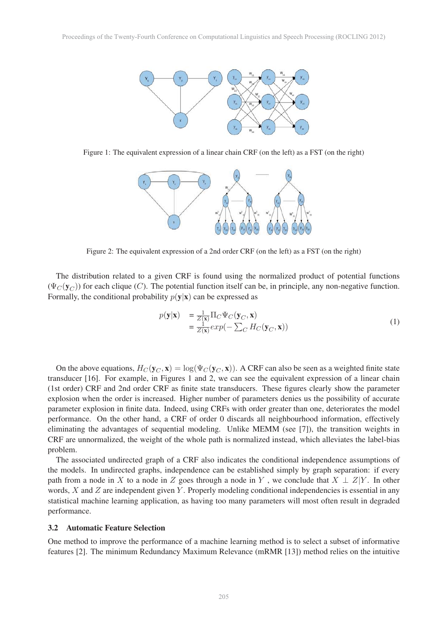

Figure 1: The equivalent expression of a linear chain CRF (on the left) as a FST (on the right)



Figure 2: The equivalent expression of a 2nd order CRF (on the left) as a FST (on the right)

The distribution related to a given CRF is found using the normalized product of potential functions  $(\Psi_C(\mathbf{y}_C))$  for each clique (C). The potential function itself can be, in principle, any non-negative function. Formally, the conditional probability  $p(y|x)$  can be expressed as

$$
p(\mathbf{y}|\mathbf{x}) = \frac{1}{Z(\mathbf{x})} \Pi_C \Psi_C(\mathbf{y}_C, \mathbf{x})
$$
  
= 
$$
\frac{1}{Z(\mathbf{x})} exp(-\sum_C H_C(\mathbf{y}_C, \mathbf{x}))
$$
 (1)

On the above equations,  $H_C(\mathbf{y}_C, \mathbf{x}) = \log(\Psi_C(\mathbf{y}_C, \mathbf{x}))$ . A CRF can also be seen as a weighted finite state transducer [16]. For example, in Figures 1 and 2, we can see the equivalent expression of a linear chain (1st order) CRF and 2nd order CRF as finite state transducers. These figures clearly show the parameter explosion when the order is increased. Higher number of parameters denies us the possibility of accurate parameter explosion in finite data. Indeed, using CRFs with order greater than one, deteriorates the model performance. On the other hand, a CRF of order 0 discards all neighbourhood information, effectively eliminating the advantages of sequential modeling. Unlike MEMM (see [7]), the transition weights in CRF are unnormalized, the weight of the whole path is normalized instead, which alleviates the label-bias problem.

The associated undirected graph of a CRF also indicates the conditional independence assumptions of the models. In undirected graphs, independence can be established simply by graph separation: if every path from a node in X to a node in Z goes through a node in Y, we conclude that  $X \perp Z|Y$ . In other words,  $X$  and  $Z$  are independent given  $Y$ . Properly modeling conditional independencies is essential in any statistical machine learning application, as having too many parameters will most often result in degraded performance.

### 3.2 Automatic Feature Selection

One method to improve the performance of a machine learning method is to select a subset of informative features [2]. The minimum Redundancy Maximum Relevance (mRMR [13]) method relies on the intuitive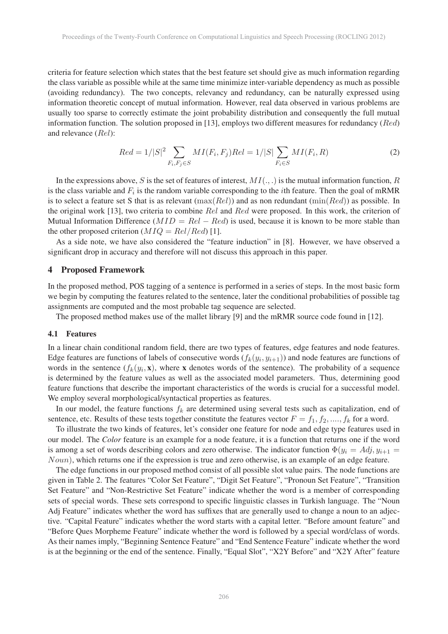criteria for feature selection which states that the best feature set should give as much information regarding the class variable as possible while at the same time minimize inter-variable dependency as much as possible (avoiding redundancy). The two concepts, relevancy and redundancy, can be naturally expressed using information theoretic concept of mutual information. However, real data observed in various problems are usually too sparse to correctly estimate the joint probability distribution and consequently the full mutual information function. The solution proposed in [13], employs two different measures for redundancy ( $Red$ ) and relevance (Rel):

$$
Red = 1/|S|^2 \sum_{F_i, F_j \in S} MI(F_i, F_j) Rel = 1/|S| \sum_{F_i \in S} MI(F_i, R)
$$
 (2)

In the expressions above, S is the set of features of interest,  $MI(.,.)$  is the mutual information function, R is the class variable and  $F_i$  is the random variable corresponding to the *i*th feature. Then the goal of mRMR is to select a feature set S that is as relevant  $(\max(Rel))$  and as non redundant  $(\min(Red))$  as possible. In the original work [13], two criteria to combine Rel and Red were proposed. In this work, the criterion of Mutual Information Difference ( $MID = Rel - Red$ ) is used, because it is known to be more stable than the other proposed criterion ( $MIQ = Rel/Red$ ) [1].

As a side note, we have also considered the "feature induction" in [8]. However, we have observed a significant drop in accuracy and therefore will not discuss this approach in this paper.

#### 4 Proposed Framework

In the proposed method, POS tagging of a sentence is performed in a series of steps. In the most basic form we begin by computing the features related to the sentence, later the conditional probabilities of possible tag assignments are computed and the most probable tag sequence are selected.

The proposed method makes use of the mallet library [9] and the mRMR source code found in [12].

#### 4.1 Features

In a linear chain conditional random field, there are two types of features, edge features and node features. Edge features are functions of labels of consecutive words  $(f_k(y_i, y_{i+1}))$  and node features are functions of words in the sentence  $(f_k(y_i, \mathbf{x}))$ , where x denotes words of the sentence). The probability of a sequence is determined by the feature values as well as the associated model parameters. Thus, determining good feature functions that describe the important characteristics of the words is crucial for a successful model. We employ several morphological/syntactical properties as features.

In our model, the feature functions  $f_k$  are determined using several tests such as capitalization, end of sentence, etc. Results of these tests together constitute the features vector  $F = f_1, f_2, \dots, f_k$  for a word.

To illustrate the two kinds of features, let's consider one feature for node and edge type features used in our model. The *Color* feature is an example for a node feature, it is a function that returns one if the word is among a set of words describing colors and zero otherwise. The indicator function  $\Phi(y_i = Adj, y_{i+1} = j)$ Noun), which returns one if the expression is true and zero otherwise, is an example of an edge feature.

The edge functions in our proposed method consist of all possible slot value pairs. The node functions are given in Table 2. The features "Color Set Feature", "Digit Set Feature", "Pronoun Set Feature", "Transition Set Feature" and "Non-Restrictive Set Feature" indicate whether the word is a member of corresponding sets of special words. These sets correspond to specific linguistic classes in Turkish language. The "Noun Adj Feature" indicates whether the word has suffixes that are generally used to change a noun to an adjective. "Capital Feature" indicates whether the word starts with a capital letter. "Before amount feature" and "Before Ques Morpheme Feature" indicate whether the word is followed by a special word/class of words. As their names imply, "Beginning Sentence Feature" and "End Sentence Feature" indicate whether the word is at the beginning or the end of the sentence. Finally, "Equal Slot", "X2Y Before" and "X2Y After" feature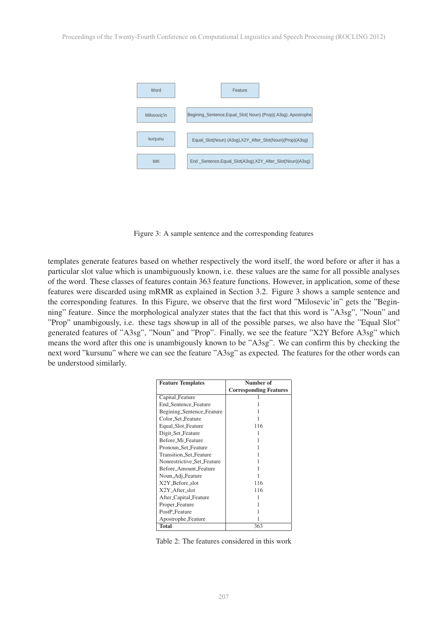

Figure 3: A sample sentence and the corresponding features

templates generate features based on whether respectively the word itself, the word before or after it has a particular slot value which is unambiguously known, i.e. these values are the same for all possible analyses of the word. These classes of features contain 363 feature functions. However, in application, some of these features were discarded using mRMR as explained in Section 3.2. Figure 3 shows a sample sentence and the corresponding features. In this Figure, we observe that the first word "Milosevic'in" gets the "Beginning" feature. Since the morphological analyzer states that the fact that this word is "A3sg", "Noun" and "Prop" unambigously, i.e. these tags showup in all of the possible parses, we also have the "Equal Slot" generated features of "A3sg", "Noun" and "Prop". Finally, we see the feature "X2Y Before A3sg" which means the word after this one is unambigously known to be "A3sg". We can confirm this by checking the next word "kursunu" where we can see the feature "A3sg" as expected. The features for the other words can be understood similarly.

| <b>Feature Templates</b>      | Number of                     |
|-------------------------------|-------------------------------|
|                               | <b>Corresponding Features</b> |
| Capital_Feature               |                               |
| <b>End Sentence Feature</b>   |                               |
| Begining_Sentence_Feature     |                               |
| Color_Set_Feature             |                               |
| Equal_Slot_Feature            | 116                           |
| Digit_Set_Feature             |                               |
| Before_Mi_Feature             |                               |
| Pronoun Set Feature           |                               |
| <b>Transition Set Feature</b> |                               |
| Nonrestrictive Set Feature    |                               |
| Before Amount Feature         |                               |
| Noun_Adj_Feature              |                               |
| X2Y_Before_slot               | 116                           |
| X2Y_After_slot                | 116                           |
| After_Capital_Feature         |                               |
| Proper_Feature                |                               |
| PostP_Feature                 |                               |
| Apostrophe_Feature            |                               |
| Total                         | 363                           |

Table 2: The features considered in this work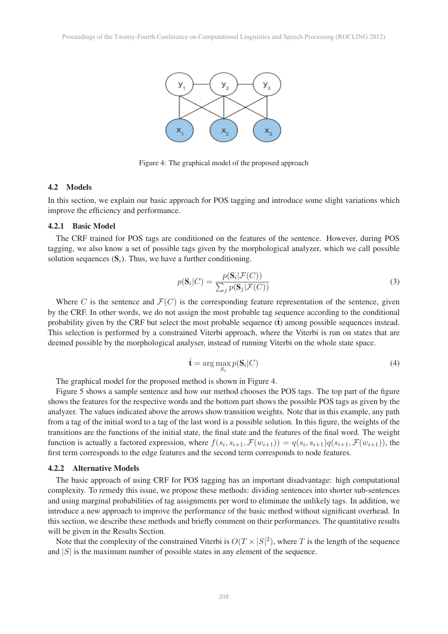

Figure 4: The graphical model of the proposed approach

#### 4.2 Models

In this section, we explain our basic approach for POS tagging and introduce some slight variations which improve the efficiency and performance.

# 4.2.1 Basic Model

The CRF trained for POS tags are conditioned on the features of the sentence. However, during POS tagging, we also know a set of possible tags given by the morphological analyzer, which we call possible solution sequences  $(S_i)$ . Thus, we have a further conditioning.

$$
p(\mathbf{S}_i|C) = \frac{p(\mathbf{S}_i|\mathcal{F}(C))}{\sum_j p(\mathbf{S}_j|\mathcal{F}(C))}
$$
(3)

Where C is the sentence and  $\mathcal{F}(C)$  is the corresponding feature representation of the sentence, given by the CRF. In other words, we do not assign the most probable tag sequence according to the conditional probability given by the CRF but select the most probable sequence  $(\hat{t})$  among possible sequences instead. This selection is performed by a constrained Viterbi approach, where the Viterbi is run on states that are deemed possible by the morphological analyser, instead of running Viterbi on the whole state space.

$$
\hat{\mathbf{t}} = \arg \max_{S_i} p(\mathbf{S}_i | C) \tag{4}
$$

The graphical model for the proposed method is shown in Figure 4.

Figure 5 shows a sample sentence and how our method chooses the POS tags. The top part of the figure shows the features for the respective words and the bottom part shows the possible POS tags as given by the analyzer. The values indicated above the arrows show transition weights. Note that in this example, any path from a tag of the initial word to a tag of the last word is a possible solution. In this figure, the weights of the transitions are the functions of the initial state, the final state and the features of the final word. The weight function is actually a factored expression, where  $f(s_i, s_{i+1}, \mathcal{F}(w_{i+1})) = q(s_i, s_{i+1})q(s_{i+1}, \mathcal{F}(w_{i+1}))$ , the first term corresponds to the edge features and the second term corresponds to node features.

#### 4.2.2 Alternative Models

The basic approach of using CRF for POS tagging has an important disadvantage: high computational complexity. To remedy this issue, we propose these methods: dividing sentences into shorter sub-sentences and using marginal probabilities of tag assignments per word to eliminate the unlikely tags. In addition, we introduce a new approach to improve the performance of the basic method without significant overhead. In this section, we describe these methods and briefly comment on their performances. The quantitative results will be given in the Results Section.

Note that the complexity of the constrained Viterbi is  $O(T \times |S|^2)$ , where T is the length of the sequence of  $|S|$  is the maximum number of possible states in any element of the sequence and  $|S|$  is the maximum number of possible states in any element of the sequence.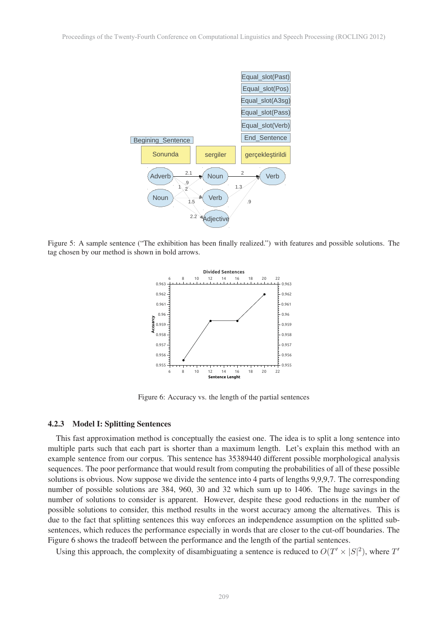

Figure 5: A sample sentence ("The exhibition has been finally realized.") with features and possible solutions. The tag chosen by our method is shown in bold arrows.



Figure 6: Accuracy vs. the length of the partial sentences

#### 4.2.3 Model I: Splitting Sentences

This fast approximation method is conceptually the easiest one. The idea is to split a long sentence into multiple parts such that each part is shorter than a maximum length. Let's explain this method with an example sentence from our corpus. This sentence has 35389440 different possible morphological analysis sequences. The poor performance that would result from computing the probabilities of all of these possible solutions is obvious. Now suppose we divide the sentence into 4 parts of lengths 9,9,9,7. The corresponding number of possible solutions are 384, 960, 30 and 32 which sum up to 1406. The huge savings in the number of solutions to consider is apparent. However, despite these good reductions in the number of possible solutions to consider, this method results in the worst accuracy among the alternatives. This is due to the fact that splitting sentences this way enforces an independence assumption on the splitted subsentences, which reduces the performance especially in words that are closer to the cut-off boundaries. The Figure 6 shows the tradeoff between the performance and the length of the partial sentences.

Using this approach, the complexity of disambiguating a sentence is reduced to  $O(T' \times |S|^2)$ , where  $T'$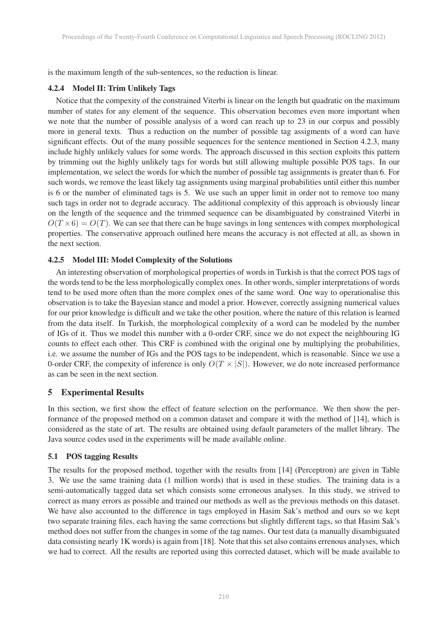is the maximum length of the sub-sentences, so the reduction is linear.

## 4.2.4 Model II: Trim Unlikely Tags

Notice that the compexity of the constrained Viterbi is linear on the length but quadratic on the maximum number of states for any element of the sequence. This observation becomes even more important when we note that the number of possible analysis of a word can reach up to 23 in our corpus and possibly more in general texts. Thus a reduction on the number of possible tag assigments of a word can have significant effects. Out of the many possible sequences for the sentence mentioned in Section 4.2.3, many include highly unlikely values for some words. The approach discussed in this section exploits this pattern by trimming out the highly unlikely tags for words but still allowing multiple possible POS tags. In our implementation, we select the words for which the number of possible tag assignments is greater than 6. For such words, we remove the least likely tag assignments using marginal probabilities until either this number is 6 or the number of eliminated tags is 5. We use such an upper limit in order not to remove too many such tags in order not to degrade accuracy. The additional complexity of this approach is obviously linear on the length of the sequence and the trimmed sequence can be disambiguated by constrained Viterbi in  $O(T \times 6) = O(T)$ . We can see that there can be huge savings in long sentences with compex morphological properties. The conservative approach outlined here means the accuracy is not effected at all, as shown in the next section.

# 4.2.5 Model III: Model Complexity of the Solutions

An interesting observation of morphological properties of words in Turkish is that the correct POS tags of the words tend to be the less morphologically complex ones. In other words, simpler interpretations of words tend to be used more often than the more complex ones of the same word. One way to operationalise this observation is to take the Bayesian stance and model a prior. However, correctly assigning numerical values for our prior knowledge is difficult and we take the other position, where the nature of this relation is learned from the data itself. In Turkish, the morphological complexity of a word can be modeled by the number of IGs of it. Thus we model this number with a 0-order CRF, since we do not expect the neighbouring IG counts to effect each other. This CRF is combined with the original one by multiplying the probabilities, i.e. we assume the number of IGs and the POS tags to be independent, which is reasonable. Since we use a 0-order CRF, the compexity of inference is only  $O(T \times |S|)$ . However, we do note increased performance as can be seen in the next section.

# 5 Experimental Results

In this section, we first show the effect of feature selection on the performance. We then show the performance of the proposed method on a common dataset and compare it with the method of [14], which is considered as the state of art. The results are obtained using default parameters of the mallet library. The Java source codes used in the experiments will be made available online.

### 5.1 POS tagging Results

The results for the proposed method, together with the results from [14] (Perceptron) are given in Table 3. We use the same training data (1 million words) that is used in these studies. The training data is a semi-automatically tagged data set which consists some erroneous analyses. In this study, we strived to correct as many errors as possible and trained our methods as well as the previous methods on this dataset. We have also accounted to the difference in tags employed in Hasim Sak's method and ours so we kept two separate training files, each having the same corrections but slightly different tags, so that Hasim Sak's method does not suffer from the changes in some of the tag names. Our test data (a manually disambiguated data consisting nearly 1K words) is again from [18]. Note that this set also contains errenous analyses, which we had to correct. All the results are reported using this corrected dataset, which will be made available to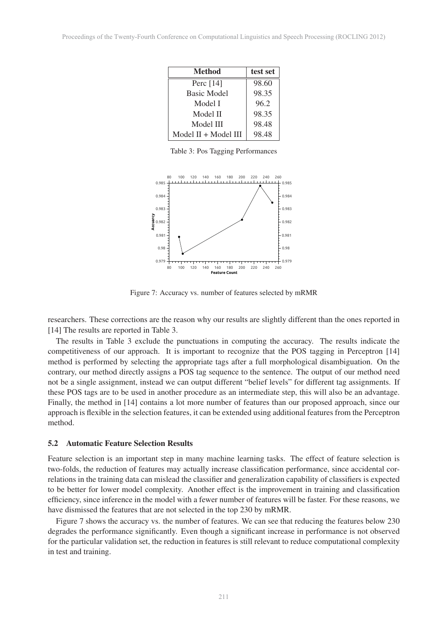| <b>Method</b>        | test set |
|----------------------|----------|
| Perc $[14]$          | 98.60    |
| <b>Basic Model</b>   | 98.35    |
| Model I              | 96.2     |
| Model II             | 98.35    |
| Model III            | 98.48    |
| Model II + Model III | 98.48    |

Table 3: Pos Tagging Performances



Figure 7: Accuracy vs. number of features selected by mRMR

researchers. These corrections are the reason why our results are slightly different than the ones reported in [14] The results are reported in Table 3.

The results in Table 3 exclude the punctuations in computing the accuracy. The results indicate the competitiveness of our approach. It is important to recognize that the POS tagging in Perceptron [14] method is performed by selecting the appropriate tags after a full morphological disambiguation. On the contrary, our method directly assigns a POS tag sequence to the sentence. The output of our method need not be a single assignment, instead we can output different "belief levels" for different tag assignments. If these POS tags are to be used in another procedure as an intermediate step, this will also be an advantage. Finally, the method in [14] contains a lot more number of features than our proposed approach, since our approach is flexible in the selection features, it can be extended using additional features from the Perceptron method.

#### 5.2 Automatic Feature Selection Results

Feature selection is an important step in many machine learning tasks. The effect of feature selection is two-folds, the reduction of features may actually increase classification performance, since accidental correlations in the training data can mislead the classifier and generalization capability of classifiers is expected to be better for lower model complexity. Another effect is the improvement in training and classification efficiency, since inference in the model with a fewer number of features will be faster. For these reasons, we have dismissed the features that are not selected in the top 230 by mRMR.

Figure 7 shows the accuracy vs. the number of features. We can see that reducing the features below 230 degrades the performance significantly. Even though a significant increase in performance is not observed for the particular validation set, the reduction in features is still relevant to reduce computational complexity in test and training.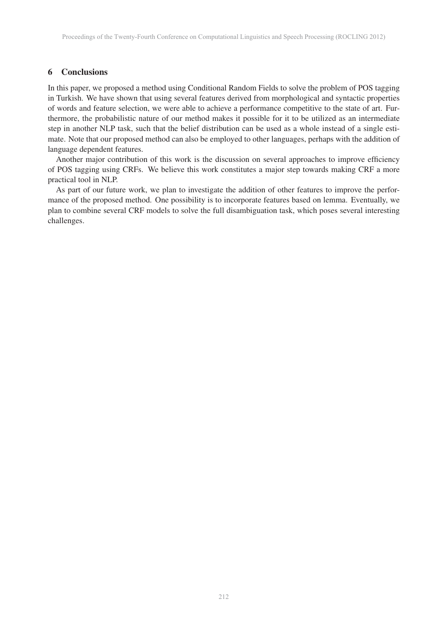## 6 Conclusions

In this paper, we proposed a method using Conditional Random Fields to solve the problem of POS tagging in Turkish. We have shown that using several features derived from morphological and syntactic properties of words and feature selection, we were able to achieve a performance competitive to the state of art. Furthermore, the probabilistic nature of our method makes it possible for it to be utilized as an intermediate step in another NLP task, such that the belief distribution can be used as a whole instead of a single estimate. Note that our proposed method can also be employed to other languages, perhaps with the addition of language dependent features.

Another major contribution of this work is the discussion on several approaches to improve efficiency of POS tagging using CRFs. We believe this work constitutes a major step towards making CRF a more practical tool in NLP.

As part of our future work, we plan to investigate the addition of other features to improve the performance of the proposed method. One possibility is to incorporate features based on lemma. Eventually, we plan to combine several CRF models to solve the full disambiguation task, which poses several interesting challenges.